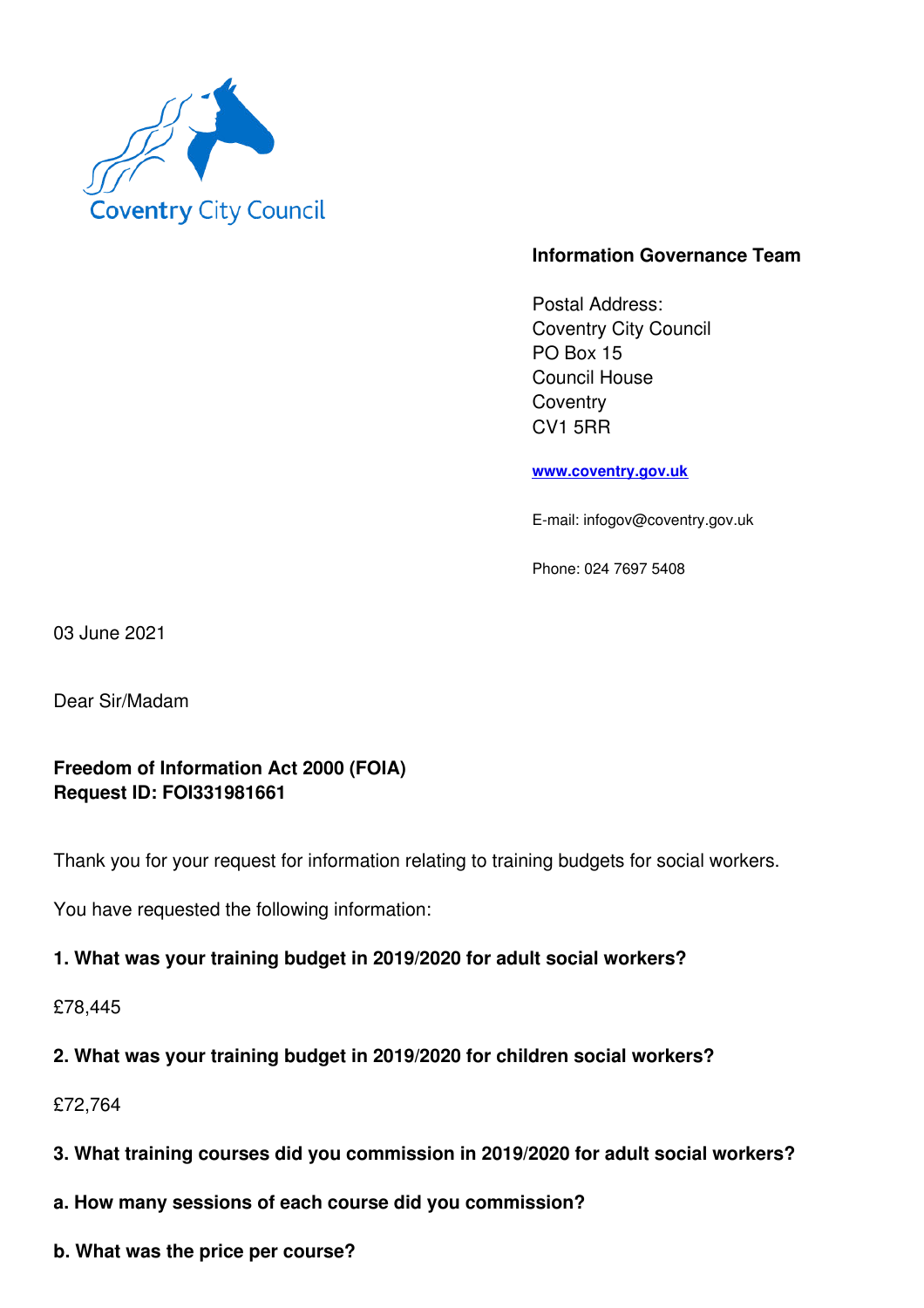

### **Information Governance Team**

Postal Address: Coventry City Council PO Box 15 Council House **Coventry** CV1 5RR

**www.coventry.gov.uk**

E-mail: infogov@coventry.gov.uk

Phone: 024 7697 5408

03 June 2021

Dear Sir/Madam

### **Freedom of Information Act 2000 (FOIA) Request ID: FOI331981661**

Thank you for your request for information relating to training budgets for social workers.

You have requested the following information:

#### **1. What was your training budget in 2019/2020 for adult social workers?**

£78,445

**2. What was your training budget in 2019/2020 for children social workers?**

£72,764

- **3. What training courses did you commission in 2019/2020 for adult social workers?**
- **a. How many sessions of each course did you commission?**
- **b. What was the price per course?**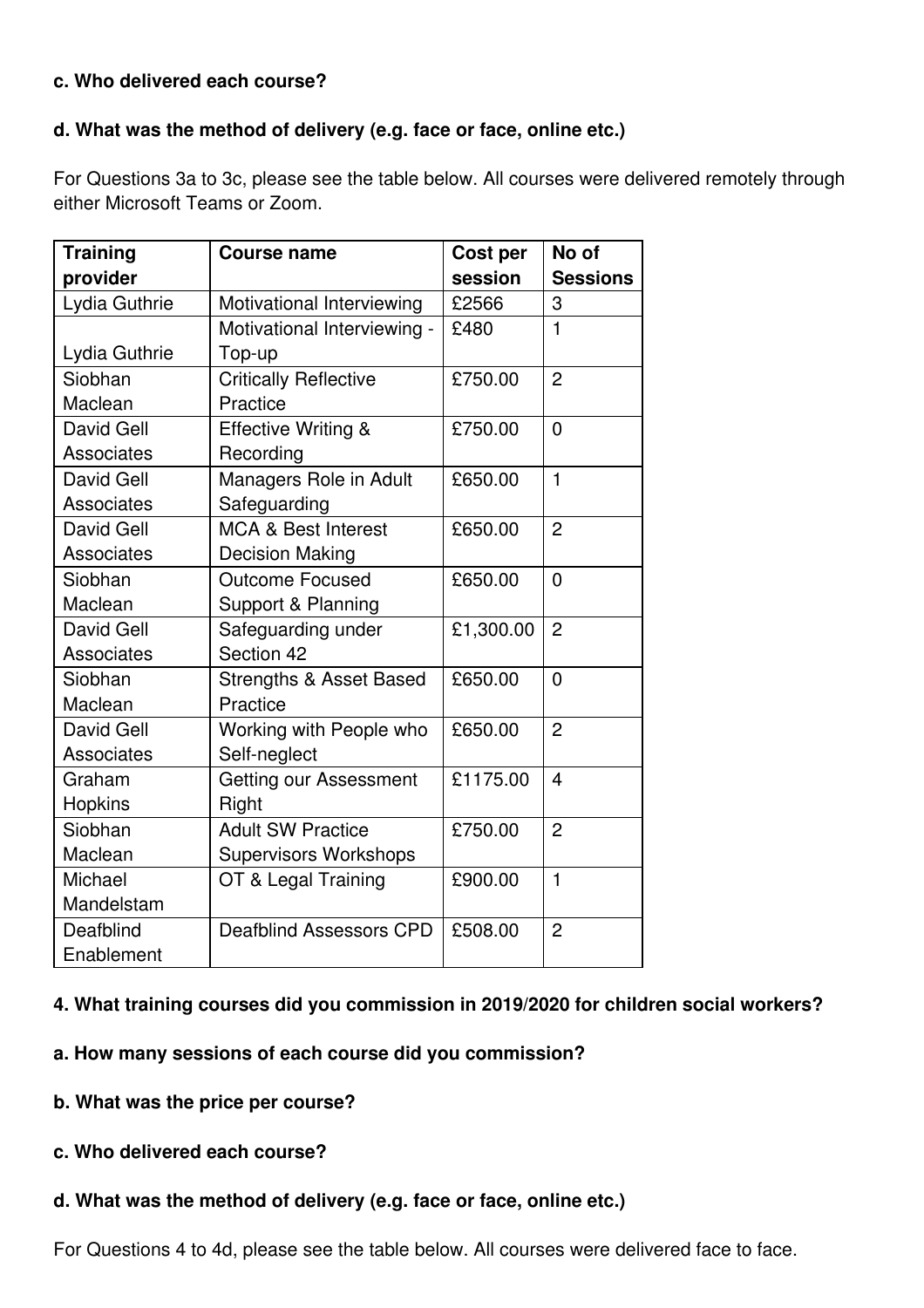### **c. Who delivered each course?**

### **d. What was the method of delivery (e.g. face or face, online etc.)**

For Questions 3a to 3c, please see the table below. All courses were delivered remotely through either Microsoft Teams or Zoom.

| <b>Training</b>   | <b>Course name</b>                 | <b>Cost per</b> | No of                    |
|-------------------|------------------------------------|-----------------|--------------------------|
| provider          |                                    | session         | <b>Sessions</b>          |
| Lydia Guthrie     | Motivational Interviewing          | £2566           | 3                        |
|                   | Motivational Interviewing -        | £480            | $\mathbf 1$              |
| Lydia Guthrie     | Top-up                             |                 |                          |
| Siobhan           | <b>Critically Reflective</b>       | £750.00         | $\overline{2}$           |
| Maclean           | Practice                           |                 |                          |
| David Gell        | <b>Effective Writing &amp;</b>     | £750.00         | $\Omega$                 |
| Associates        | Recording                          |                 |                          |
| David Gell        | Managers Role in Adult             | £650.00         | $\mathbf{1}$             |
| Associates        | Safeguarding                       |                 |                          |
| David Gell        | <b>MCA &amp; Best Interest</b>     | £650.00         | $\overline{2}$           |
| <b>Associates</b> | <b>Decision Making</b>             |                 |                          |
| Siobhan           | <b>Outcome Focused</b>             | £650.00         | $\overline{0}$           |
| Maclean           | Support & Planning                 |                 |                          |
| David Gell        | Safeguarding under                 | £1,300.00       | $\overline{2}$           |
| <b>Associates</b> | Section 42                         |                 |                          |
| Siobhan           | <b>Strengths &amp; Asset Based</b> | £650.00         | $\overline{0}$           |
| Maclean           | Practice                           |                 |                          |
| <b>David Gell</b> | Working with People who            | £650.00         | $\overline{2}$           |
| Associates        | Self-neglect                       |                 |                          |
| Graham            | Getting our Assessment             | £1175.00        | $\overline{\mathcal{A}}$ |
| <b>Hopkins</b>    | Right                              |                 |                          |
| Siobhan           | <b>Adult SW Practice</b>           | £750.00         | $\overline{2}$           |
| Maclean           | <b>Supervisors Workshops</b>       |                 |                          |
| Michael           | OT & Legal Training                | £900.00         | $\mathbf{1}$             |
| Mandelstam        |                                    |                 |                          |
| Deafblind         | <b>Deafblind Assessors CPD</b>     | £508.00         | $\overline{2}$           |
| Enablement        |                                    |                 |                          |

### **4. What training courses did you commission in 2019/2020 for children social workers?**

- **a. How many sessions of each course did you commission?**
- **b. What was the price per course?**
- **c. Who delivered each course?**
- **d. What was the method of delivery (e.g. face or face, online etc.)**

For Questions 4 to 4d, please see the table below. All courses were delivered face to face.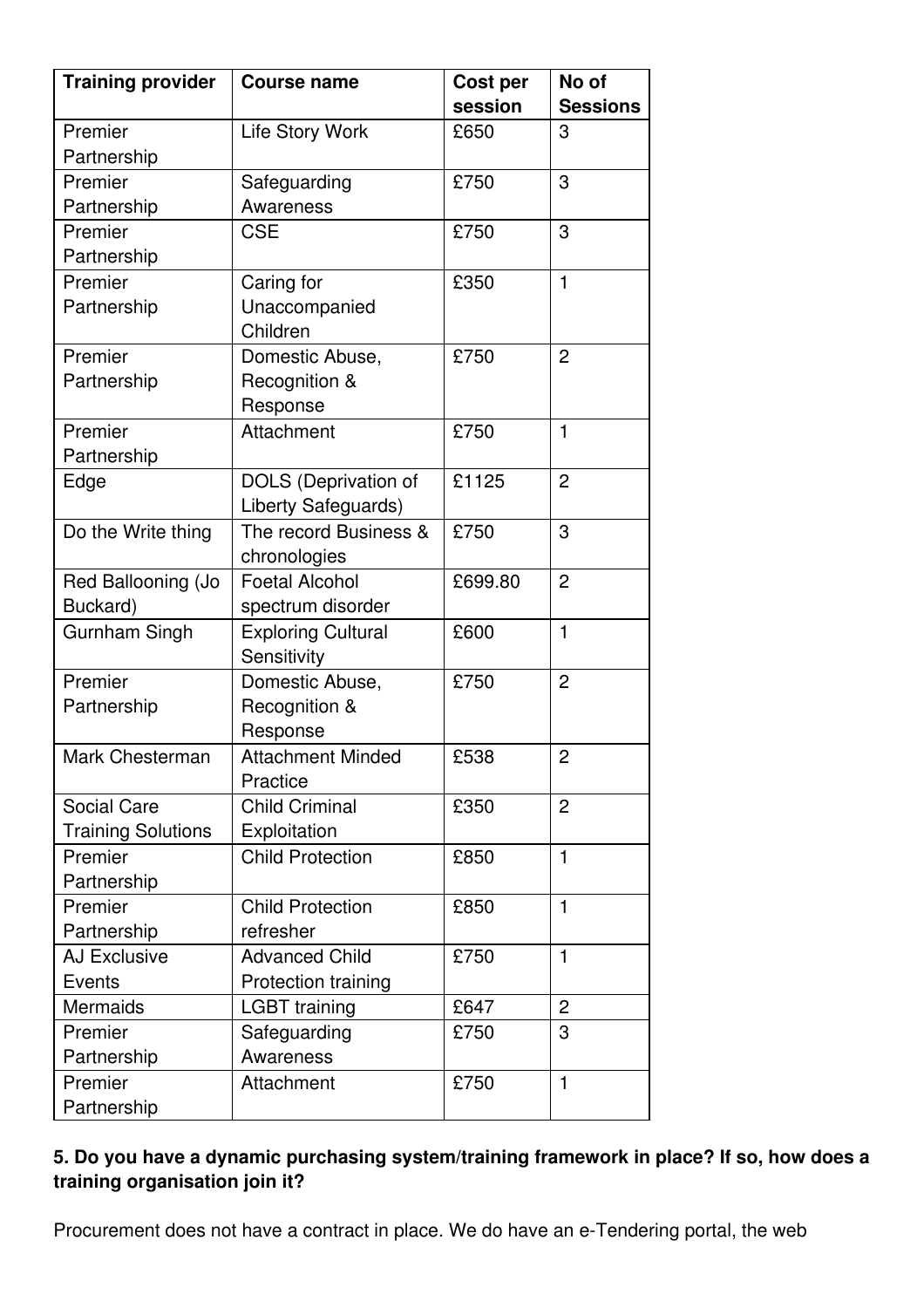| <b>Training provider</b>  | <b>Course name</b>                                 | Cost per | No of           |
|---------------------------|----------------------------------------------------|----------|-----------------|
|                           |                                                    | session  | <b>Sessions</b> |
| Premier                   | <b>Life Story Work</b>                             | £650     | 3               |
| Partnership               |                                                    |          |                 |
| Premier                   | Safeguarding                                       | £750     | 3               |
| Partnership               | Awareness                                          |          |                 |
| Premier                   | <b>CSE</b>                                         | £750     | 3               |
| Partnership               |                                                    |          |                 |
| Premier                   | Caring for                                         | £350     | $\mathbf{1}$    |
| Partnership               | Unaccompanied<br>Children                          |          |                 |
| Premier                   | Domestic Abuse,                                    | £750     | $\overline{2}$  |
| Partnership               | Recognition &<br>Response                          |          |                 |
| Premier                   | Attachment                                         | £750     | $\mathbf{1}$    |
| Partnership               |                                                    |          |                 |
| Edge                      | <b>DOLS</b> (Deprivation of<br>Liberty Safeguards) | £1125    | $\overline{2}$  |
| Do the Write thing        | The record Business &                              | £750     | 3               |
|                           | chronologies                                       |          |                 |
| Red Ballooning (Jo        | <b>Foetal Alcohol</b>                              | £699.80  | $\overline{2}$  |
| Buckard)                  | spectrum disorder                                  |          |                 |
| <b>Gurnham Singh</b>      | <b>Exploring Cultural</b>                          | £600     | $\mathbf{1}$    |
|                           | Sensitivity                                        |          |                 |
| Premier                   | Domestic Abuse,                                    | £750     | $\overline{2}$  |
| Partnership               | Recognition &                                      |          |                 |
|                           | Response                                           |          |                 |
| Mark Chesterman           | <b>Attachment Minded</b>                           | £538     | $\overline{2}$  |
|                           | Practice                                           |          |                 |
| Social Care               | <b>Child Criminal</b>                              | £350     | $\overline{2}$  |
| <b>Training Solutions</b> | Exploitation                                       |          |                 |
| Premier                   | <b>Child Protection</b>                            | £850     | $\mathbf{1}$    |
| Partnership               |                                                    |          |                 |
| Premier                   | <b>Child Protection</b>                            | £850     | $\mathbf{1}$    |
| Partnership               | refresher                                          |          |                 |
| <b>AJ Exclusive</b>       | <b>Advanced Child</b>                              | £750     | $\mathbf{1}$    |
| <b>Events</b>             | Protection training                                |          |                 |
| Mermaids                  | <b>LGBT</b> training                               | £647     | $\overline{2}$  |
| Premier                   | Safeguarding                                       | £750     | 3               |
| Partnership               | Awareness                                          |          |                 |
| Premier                   | Attachment                                         | £750     | $\mathbf{1}$    |
| Partnership               |                                                    |          |                 |

# **5. Do you have a dynamic purchasing system/training framework in place? If so, how does a training organisation join it?**

Procurement does not have a contract in place. We do have an e-Tendering portal, the web